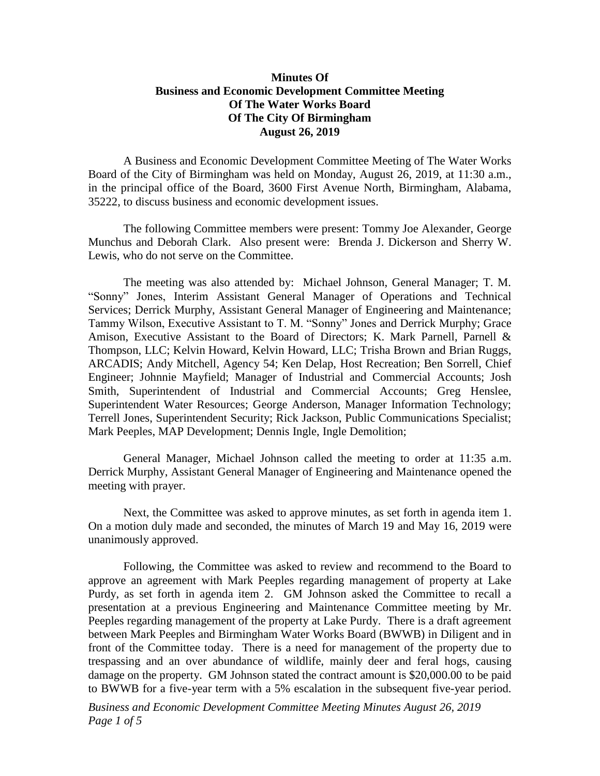## **Minutes Of Business and Economic Development Committee Meeting Of The Water Works Board Of The City Of Birmingham August 26, 2019**

A Business and Economic Development Committee Meeting of The Water Works Board of the City of Birmingham was held on Monday, August 26, 2019, at 11:30 a.m., in the principal office of the Board, 3600 First Avenue North, Birmingham, Alabama, 35222, to discuss business and economic development issues.

The following Committee members were present: Tommy Joe Alexander, George Munchus and Deborah Clark. Also present were: Brenda J. Dickerson and Sherry W. Lewis, who do not serve on the Committee.

The meeting was also attended by: Michael Johnson, General Manager; T. M. "Sonny" Jones, Interim Assistant General Manager of Operations and Technical Services; Derrick Murphy, Assistant General Manager of Engineering and Maintenance; Tammy Wilson, Executive Assistant to T. M. "Sonny" Jones and Derrick Murphy; Grace Amison, Executive Assistant to the Board of Directors; K. Mark Parnell, Parnell & Thompson, LLC; Kelvin Howard, Kelvin Howard, LLC; Trisha Brown and Brian Ruggs, ARCADIS; Andy Mitchell, Agency 54; Ken Delap, Host Recreation; Ben Sorrell, Chief Engineer; Johnnie Mayfield; Manager of Industrial and Commercial Accounts; Josh Smith, Superintendent of Industrial and Commercial Accounts; Greg Henslee, Superintendent Water Resources; George Anderson, Manager Information Technology; Terrell Jones, Superintendent Security; Rick Jackson, Public Communications Specialist; Mark Peeples, MAP Development; Dennis Ingle, Ingle Demolition;

General Manager, Michael Johnson called the meeting to order at 11:35 a.m. Derrick Murphy, Assistant General Manager of Engineering and Maintenance opened the meeting with prayer.

Next, the Committee was asked to approve minutes, as set forth in agenda item 1. On a motion duly made and seconded, the minutes of March 19 and May 16, 2019 were unanimously approved.

Following, the Committee was asked to review and recommend to the Board to approve an agreement with Mark Peeples regarding management of property at Lake Purdy, as set forth in agenda item 2. GM Johnson asked the Committee to recall a presentation at a previous Engineering and Maintenance Committee meeting by Mr. Peeples regarding management of the property at Lake Purdy. There is a draft agreement between Mark Peeples and Birmingham Water Works Board (BWWB) in Diligent and in front of the Committee today. There is a need for management of the property due to trespassing and an over abundance of wildlife, mainly deer and feral hogs, causing damage on the property. GM Johnson stated the contract amount is \$20,000.00 to be paid to BWWB for a five-year term with a 5% escalation in the subsequent five-year period.

*Business and Economic Development Committee Meeting Minutes August 26, 2019 Page 1 of 5*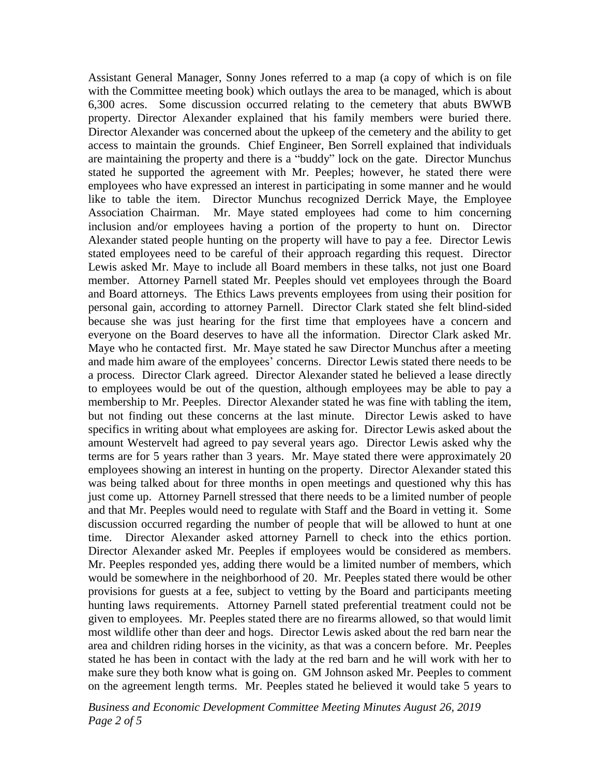Assistant General Manager, Sonny Jones referred to a map (a copy of which is on file with the Committee meeting book) which outlays the area to be managed, which is about 6,300 acres. Some discussion occurred relating to the cemetery that abuts BWWB property. Director Alexander explained that his family members were buried there. Director Alexander was concerned about the upkeep of the cemetery and the ability to get access to maintain the grounds. Chief Engineer, Ben Sorrell explained that individuals are maintaining the property and there is a "buddy" lock on the gate. Director Munchus stated he supported the agreement with Mr. Peeples; however, he stated there were employees who have expressed an interest in participating in some manner and he would like to table the item. Director Munchus recognized Derrick Maye, the Employee Association Chairman. Mr. Maye stated employees had come to him concerning inclusion and/or employees having a portion of the property to hunt on. Director Alexander stated people hunting on the property will have to pay a fee. Director Lewis stated employees need to be careful of their approach regarding this request. Director Lewis asked Mr. Maye to include all Board members in these talks, not just one Board member. Attorney Parnell stated Mr. Peeples should vet employees through the Board and Board attorneys. The Ethics Laws prevents employees from using their position for personal gain, according to attorney Parnell. Director Clark stated she felt blind-sided because she was just hearing for the first time that employees have a concern and everyone on the Board deserves to have all the information. Director Clark asked Mr. Maye who he contacted first. Mr. Maye stated he saw Director Munchus after a meeting and made him aware of the employees' concerns. Director Lewis stated there needs to be a process. Director Clark agreed. Director Alexander stated he believed a lease directly to employees would be out of the question, although employees may be able to pay a membership to Mr. Peeples. Director Alexander stated he was fine with tabling the item, but not finding out these concerns at the last minute. Director Lewis asked to have specifics in writing about what employees are asking for. Director Lewis asked about the amount Westervelt had agreed to pay several years ago. Director Lewis asked why the terms are for 5 years rather than 3 years. Mr. Maye stated there were approximately 20 employees showing an interest in hunting on the property. Director Alexander stated this was being talked about for three months in open meetings and questioned why this has just come up. Attorney Parnell stressed that there needs to be a limited number of people and that Mr. Peeples would need to regulate with Staff and the Board in vetting it. Some discussion occurred regarding the number of people that will be allowed to hunt at one time. Director Alexander asked attorney Parnell to check into the ethics portion. Director Alexander asked Mr. Peeples if employees would be considered as members. Mr. Peeples responded yes, adding there would be a limited number of members, which would be somewhere in the neighborhood of 20. Mr. Peeples stated there would be other provisions for guests at a fee, subject to vetting by the Board and participants meeting hunting laws requirements. Attorney Parnell stated preferential treatment could not be given to employees. Mr. Peeples stated there are no firearms allowed, so that would limit most wildlife other than deer and hogs. Director Lewis asked about the red barn near the area and children riding horses in the vicinity, as that was a concern before. Mr. Peeples stated he has been in contact with the lady at the red barn and he will work with her to make sure they both know what is going on. GM Johnson asked Mr. Peeples to comment on the agreement length terms. Mr. Peeples stated he believed it would take 5 years to

*Business and Economic Development Committee Meeting Minutes August 26, 2019 Page 2 of 5*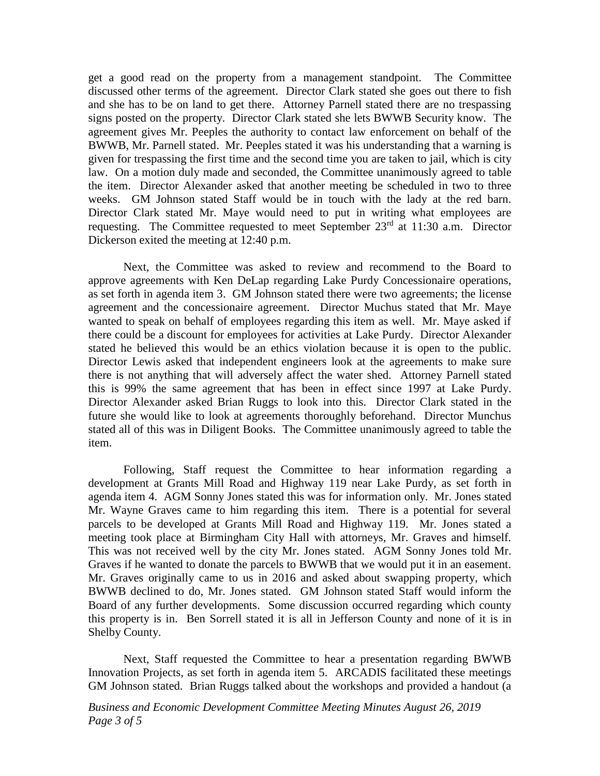get a good read on the property from a management standpoint. The Committee discussed other terms of the agreement. Director Clark stated she goes out there to fish and she has to be on land to get there. Attorney Parnell stated there are no trespassing signs posted on the property. Director Clark stated she lets BWWB Security know. The agreement gives Mr. Peeples the authority to contact law enforcement on behalf of the BWWB, Mr. Parnell stated. Mr. Peeples stated it was his understanding that a warning is given for trespassing the first time and the second time you are taken to jail, which is city law. On a motion duly made and seconded, the Committee unanimously agreed to table the item. Director Alexander asked that another meeting be scheduled in two to three weeks. GM Johnson stated Staff would be in touch with the lady at the red barn. Director Clark stated Mr. Maye would need to put in writing what employees are requesting. The Committee requested to meet September  $23<sup>rd</sup>$  at 11:30 a.m. Director Dickerson exited the meeting at 12:40 p.m.

Next, the Committee was asked to review and recommend to the Board to approve agreements with Ken DeLap regarding Lake Purdy Concessionaire operations, as set forth in agenda item 3. GM Johnson stated there were two agreements; the license agreement and the concessionaire agreement. Director Muchus stated that Mr. Maye wanted to speak on behalf of employees regarding this item as well. Mr. Maye asked if there could be a discount for employees for activities at Lake Purdy. Director Alexander stated he believed this would be an ethics violation because it is open to the public. Director Lewis asked that independent engineers look at the agreements to make sure there is not anything that will adversely affect the water shed. Attorney Parnell stated this is 99% the same agreement that has been in effect since 1997 at Lake Purdy. Director Alexander asked Brian Ruggs to look into this. Director Clark stated in the future she would like to look at agreements thoroughly beforehand. Director Munchus stated all of this was in Diligent Books. The Committee unanimously agreed to table the item.

Following, Staff request the Committee to hear information regarding a development at Grants Mill Road and Highway 119 near Lake Purdy, as set forth in agenda item 4. AGM Sonny Jones stated this was for information only. Mr. Jones stated Mr. Wayne Graves came to him regarding this item. There is a potential for several parcels to be developed at Grants Mill Road and Highway 119. Mr. Jones stated a meeting took place at Birmingham City Hall with attorneys, Mr. Graves and himself. This was not received well by the city Mr. Jones stated. AGM Sonny Jones told Mr. Graves if he wanted to donate the parcels to BWWB that we would put it in an easement. Mr. Graves originally came to us in 2016 and asked about swapping property, which BWWB declined to do, Mr. Jones stated. GM Johnson stated Staff would inform the Board of any further developments. Some discussion occurred regarding which county this property is in. Ben Sorrell stated it is all in Jefferson County and none of it is in Shelby County.

Next, Staff requested the Committee to hear a presentation regarding BWWB Innovation Projects, as set forth in agenda item 5. ARCADIS facilitated these meetings GM Johnson stated. Brian Ruggs talked about the workshops and provided a handout (a

*Business and Economic Development Committee Meeting Minutes August 26, 2019 Page 3 of 5*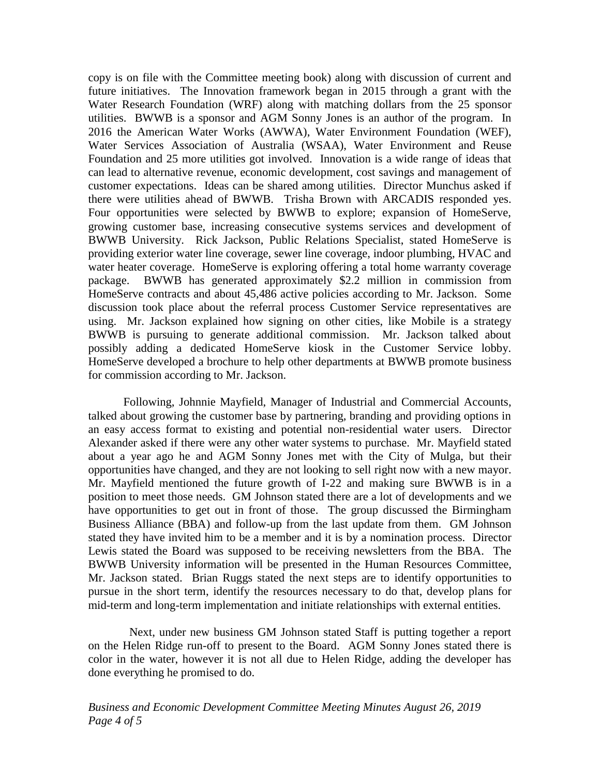copy is on file with the Committee meeting book) along with discussion of current and future initiatives. The Innovation framework began in 2015 through a grant with the Water Research Foundation (WRF) along with matching dollars from the 25 sponsor utilities. BWWB is a sponsor and AGM Sonny Jones is an author of the program. In 2016 the American Water Works (AWWA), Water Environment Foundation (WEF), Water Services Association of Australia (WSAA), Water Environment and Reuse Foundation and 25 more utilities got involved. Innovation is a wide range of ideas that can lead to alternative revenue, economic development, cost savings and management of customer expectations. Ideas can be shared among utilities. Director Munchus asked if there were utilities ahead of BWWB. Trisha Brown with ARCADIS responded yes. Four opportunities were selected by BWWB to explore; expansion of HomeServe, growing customer base, increasing consecutive systems services and development of BWWB University. Rick Jackson, Public Relations Specialist, stated HomeServe is providing exterior water line coverage, sewer line coverage, indoor plumbing, HVAC and water heater coverage. HomeServe is exploring offering a total home warranty coverage package. BWWB has generated approximately \$2.2 million in commission from HomeServe contracts and about 45,486 active policies according to Mr. Jackson. Some discussion took place about the referral process Customer Service representatives are using. Mr. Jackson explained how signing on other cities, like Mobile is a strategy BWWB is pursuing to generate additional commission. Mr. Jackson talked about possibly adding a dedicated HomeServe kiosk in the Customer Service lobby. HomeServe developed a brochure to help other departments at BWWB promote business for commission according to Mr. Jackson.

Following, Johnnie Mayfield, Manager of Industrial and Commercial Accounts, talked about growing the customer base by partnering, branding and providing options in an easy access format to existing and potential non-residential water users. Director Alexander asked if there were any other water systems to purchase. Mr. Mayfield stated about a year ago he and AGM Sonny Jones met with the City of Mulga, but their opportunities have changed, and they are not looking to sell right now with a new mayor. Mr. Mayfield mentioned the future growth of I-22 and making sure BWWB is in a position to meet those needs. GM Johnson stated there are a lot of developments and we have opportunities to get out in front of those. The group discussed the Birmingham Business Alliance (BBA) and follow-up from the last update from them. GM Johnson stated they have invited him to be a member and it is by a nomination process. Director Lewis stated the Board was supposed to be receiving newsletters from the BBA. The BWWB University information will be presented in the Human Resources Committee, Mr. Jackson stated. Brian Ruggs stated the next steps are to identify opportunities to pursue in the short term, identify the resources necessary to do that, develop plans for mid-term and long-term implementation and initiate relationships with external entities.

Next, under new business GM Johnson stated Staff is putting together a report on the Helen Ridge run-off to present to the Board. AGM Sonny Jones stated there is color in the water, however it is not all due to Helen Ridge, adding the developer has done everything he promised to do.

*Business and Economic Development Committee Meeting Minutes August 26, 2019 Page 4 of 5*